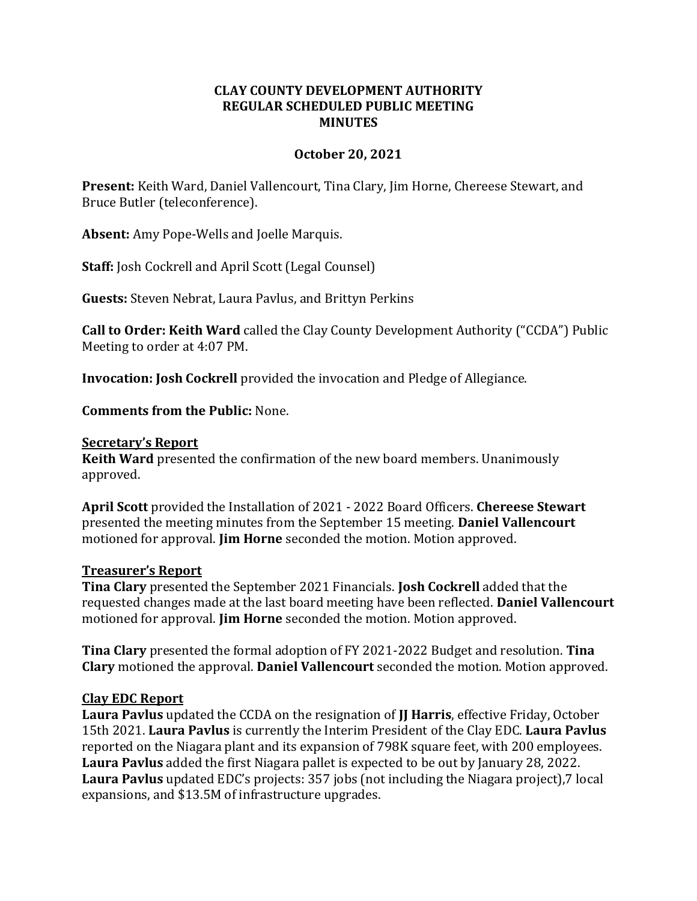## **CLAY COUNTY DEVELOPMENT AUTHORITY REGULAR SCHEDULED PUBLIC MEETING MINUTES**

### **October 20, 2021**

**Present:** Keith Ward, Daniel Vallencourt, Tina Clary, Jim Horne, Chereese Stewart, and Bruce Butler (teleconference).

**Absent:** Amy Pope-Wells and Joelle Marquis.

**Staff:** Josh Cockrell and April Scott (Legal Counsel)

**Guests:** Steven Nebrat, Laura Pavlus, and Brittyn Perkins

**Call to Order: Keith Ward** called the Clay County Development Authority ("CCDA") Public Meeting to order at 4:07 PM.

**Invocation: Josh Cockrell** provided the invocation and Pledge of Allegiance.

**Comments from the Public:** None.

#### **Secretary's Report**

**Keith Ward** presented the confirmation of the new board members. Unanimously approved.

**April Scott** provided the Installation of 2021 - 2022 Board Officers. **Chereese Stewart**  presented the meeting minutes from the September 15 meeting. **Daniel Vallencourt**  motioned for approval. **Jim Horne** seconded the motion. Motion approved.

## **Treasurer's Report**

**Tina Clary** presented the September 2021 Financials. **Josh Cockrell** added that the requested changes made at the last board meeting have been reflected. **Daniel Vallencourt**  motioned for approval. **Jim Horne** seconded the motion. Motion approved.

**Tina Clary** presented the formal adoption of FY 2021-2022 Budget and resolution. **Tina Clary** motioned the approval. **Daniel Vallencourt** seconded the motion. Motion approved.

## **Clay EDC Report**

**Laura Pavlus** updated the CCDA on the resignation of **JJ Harris**, effective Friday, October 15th 2021. **Laura Pavlus** is currently the Interim President of the Clay EDC. **Laura Pavlus**  reported on the Niagara plant and its expansion of 798K square feet, with 200 employees. **Laura Pavlus** added the first Niagara pallet is expected to be out by January 28, 2022. **Laura Pavlus** updated EDC's projects: 357 jobs (not including the Niagara project),7 local expansions, and \$13.5M of infrastructure upgrades.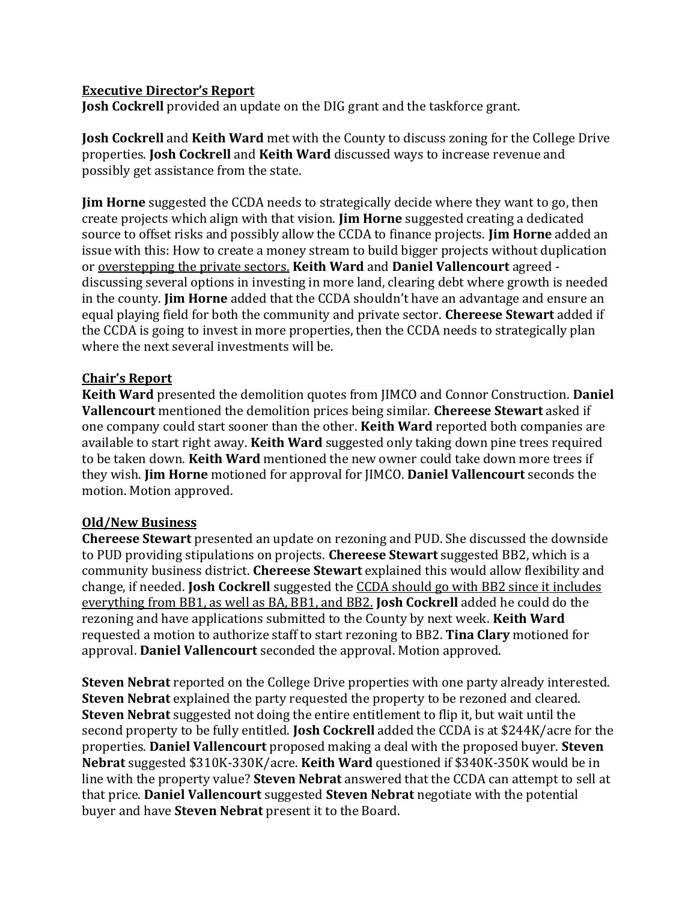# **Executive Director's Report**

**Josh Cockrell** provided an update on the DIG grant and the taskforce grant.

**Josh Cockrell** and **Keith Ward** met with the County to discuss zoning for the College Drive properties. **Josh Cockrell** and **Keith Ward** discussed ways to increase revenue and possibly get assistance from the state.

**Jim Horne** suggested the CCDA needs to strategically decide where they want to go, then create projects which align with that vision. **Jim Horne** suggested creating a dedicated source to offset risks and possibly allow the CCDA to finance projects. **Jim Horne** added an issue with this: How to create a money stream to build bigger projects without duplication or overstepping the private sectors. **Keith Ward** and **Daniel Vallencourt** agreed discussing several options in investing in more land, clearing debt where growth is needed in the county. **Jim Horne** added that the CCDA shouldn't have an advantage and ensure an equal playing field for both the community and private sector. **Chereese Stewart** added if the CCDA is going to invest in more properties, then the CCDA needs to strategically plan where the next several investments will be.

# **Chair's Report**

**Keith Ward** presented the demolition quotes from JIMCO and Connor Construction. **Daniel Vallencourt** mentioned the demolition prices being similar. **Chereese Stewart** asked if one company could start sooner than the other. **Keith Ward** reported both companies are available to start right away. **Keith Ward** suggested only taking down pine trees required to be taken down. **Keith Ward** mentioned the new owner could take down more trees if they wish. **Jim Horne** motioned for approval for JIMCO. **Daniel Vallencourt** seconds the motion. Motion approved.

# **Old/New Business**

**Chereese Stewart** presented an update on rezoning and PUD. She discussed the downside to PUD providing stipulations on projects. **Chereese Stewart** suggested BB2, which is a community business district. **Chereese Stewart** explained this would allow flexibility and change, if needed. **Josh Cockrell** suggested the CCDA should go with BB2 since it includes everything from BB1, as well as BA, BB1, and BB2. **Josh Cockrell** added he could do the rezoning and have applications submitted to the County by next week. **Keith Ward** requested a motion to authorize staff to start rezoning to BB2. **Tina Clary** motioned for approval. **Daniel Vallencourt** seconded the approval. Motion approved.

**Steven Nebrat** reported on the College Drive properties with one party already interested. **Steven Nebrat** explained the party requested the property to be rezoned and cleared. **Steven Nebrat** suggested not doing the entire entitlement to flip it, but wait until the second property to be fully entitled. **Josh Cockrell** added the CCDA is at \$244K/acre for the properties. **Daniel Vallencourt** proposed making a deal with the proposed buyer. **Steven Nebrat** suggested \$310K-330K/acre. **Keith Ward** questioned if \$340K-350K would be in line with the property value? **Steven Nebrat** answered that the CCDA can attempt to sell at that price. **Daniel Vallencourt** suggested **Steven Nebrat** negotiate with the potential buyer and have **Steven Nebrat** present it to the Board.